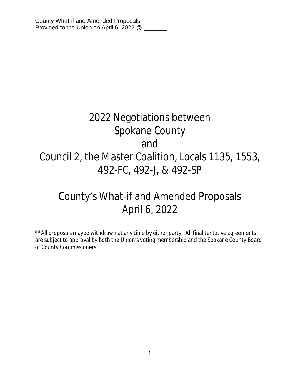# 2022 Negotiations between Spokane County and Council 2, the Master Coalition, Locals 1135, 1553, 492-FC, 492-J, & 492-SP

# County's What-if and Amended Proposals April 6, 2022

\*\*All proposals maybe withdrawn at any time by either party. All final tentative agreements are subject to approval by both the Union's voting membership and the Spokane County Board of County Commissioners.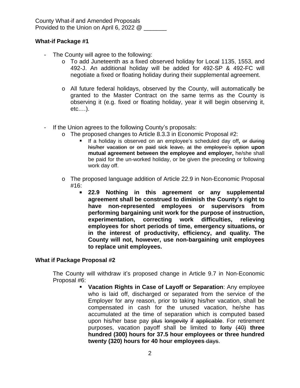County What-if and Amended Proposals Provided to the Union on April 6, 2022 @

# **What-if Package #1**

- The County will agree to the following:
	- o To add Juneteenth as a fixed observed holiday for Local 1135, 1553, and 492-J. An additional holiday will be added for 492-SP & 492-FC will negotiate a fixed or floating holiday during their supplemental agreement.
	- o All future federal holidays, observed by the County, will automatically be granted to the Master Contract on the same terms as the County is observing it (e.g. fixed or floating holiday, year it will begin observing it, etc.…).
- If the Union agrees to the following County's proposals:
	- o The proposed changes to Article 8.3.3 in Economic Proposal #2:
		- If a holiday is observed on an employee's scheduled day off**,** or during his/her vacation or on paid sick leave, at the employee's option **upon mutual agreement between the employee and employer,** he/she shall be paid for the un-worked holiday, or be given the preceding or following work day off.
	- o The proposed language addition of Article 22.9 in Non-Economic Proposal #16:
		- **22.9 Nothing in this agreement or any supplemental agreement shall be construed to diminish the County's right to have non-represented employees or supervisors from performing bargaining unit work for the purpose of instruction, experimentation, correcting work difficulties, relieving employees for short periods of time, emergency situations, or in the interest of productivity, efficiency, and quality. The County will not, however, use non-bargaining unit employees to replace unit employees.**

## **What if Package Proposal #2**

The County will withdraw it's proposed change in Article 9.7 in Non-Economic Proposal #6:

 **Vacation Rights in Case of Layoff or Separation**: Any employee who is laid off, discharged or separated from the service of the Employer for any reason, prior to taking his/her vacation, shall be compensated in cash for the unused vacation, he/she has accumulated at the time of separation which is computed based upon his/her base pay plus longevity if applicable. For retirement purposes, vacation payoff shall be limited to forty (40) **three hundred (300) hours for 37.5 hour employees or three hundred twenty (320) hours for 40 hour employees** days.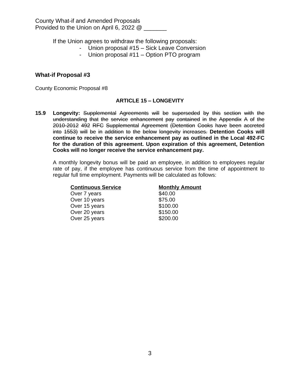If the Union agrees to withdraw the following proposals:

- Union proposal #15 Sick Leave Conversion
- Union proposal #11 Option PTO program

#### **What-if Proposal #3**

County Economic Proposal #8

#### **ARTICLE 15 – LONGEVITY**

**15.9 Longevity:** Supplemental Agreements will be superseded by this section with the understanding that the service enhancement pay contained in the Appendix A of the 2010-2012 492 RFC Supplemental Agreement (Detention Cooks have been accreted into 1553) will be in addition to the below longevity increases. **Detention Cooks will continue to receive the service enhancement pay as outlined in the Local 492-FC for the duration of this agreement. Upon expiration of this agreement, Detention Cooks will no longer receive the service enhancement pay.**

A monthly longevity bonus will be paid an employee, in addition to employees regular rate of pay, if the employee has continuous service from the time of appointment to regular full time employment. Payments will be calculated as follows:

| <b>Continuous Service</b> | <b>Monthly Amount</b> |
|---------------------------|-----------------------|
| Over 7 years              | \$40.00               |
| Over 10 years             | \$75.00               |
| Over 15 years             | \$100.00              |
| Over 20 years             | \$150.00              |
| Over 25 years             | \$200.00              |